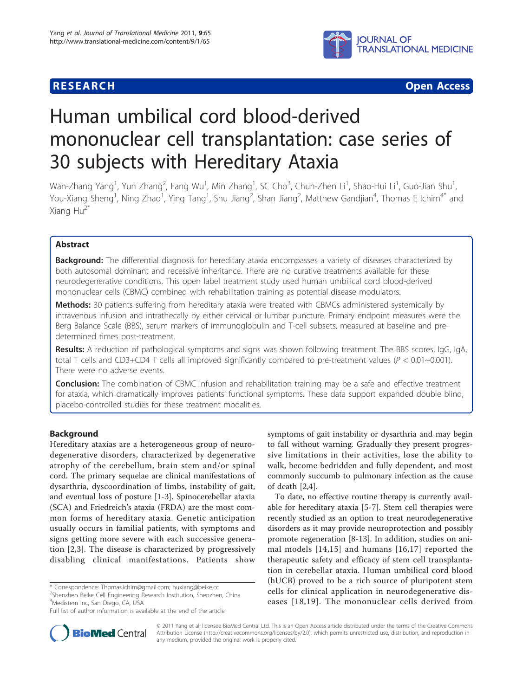



# Human umbilical cord blood-derived mononuclear cell transplantation: case series of 30 subjects with Hereditary Ataxia

Wan-Zhang Yang<sup>1</sup>, Yun Zhang<sup>2</sup>, Fang Wu<sup>1</sup>, Min Zhang<sup>1</sup>, SC Cho<sup>3</sup>, Chun-Zhen Li<sup>1</sup>, Shao-Hui Li<sup>1</sup>, Guo-Jian Shu<sup>1</sup> , You-Xiang Sheng<sup>1</sup>, Ning Zhao<sup>1</sup>, Ying Tang<sup>1</sup>, Shu Jiang<sup>2</sup>, Shan Jiang<sup>2</sup>, Matthew Gandjian<sup>4</sup>, Thomas E Ichim<sup>4\*</sup> and Xiang  $Hu^{2^*}$ 

# Abstract

Background: The differential diagnosis for hereditary ataxia encompasses a variety of diseases characterized by both autosomal dominant and recessive inheritance. There are no curative treatments available for these neurodegenerative conditions. This open label treatment study used human umbilical cord blood-derived mononuclear cells (CBMC) combined with rehabilitation training as potential disease modulators.

Methods: 30 patients suffering from hereditary ataxia were treated with CBMCs administered systemically by intravenous infusion and intrathecally by either cervical or lumbar puncture. Primary endpoint measures were the Berg Balance Scale (BBS), serum markers of immunoglobulin and T-cell subsets, measured at baseline and predetermined times post-treatment.

Results: A reduction of pathological symptoms and signs was shown following treatment. The BBS scores, IgG, IgA, total T cells and CD3+CD4 T cells all improved significantly compared to pre-treatment values ( $P < 0.01$ ~0.001). There were no adverse events.

**Conclusion:** The combination of CBMC infusion and rehabilitation training may be a safe and effective treatment for ataxia, which dramatically improves patients' functional symptoms. These data support expanded double blind, placebo-controlled studies for these treatment modalities.

# Background

Hereditary ataxias are a heterogeneous group of neurodegenerative disorders, characterized by degenerative atrophy of the cerebellum, brain stem and/or spinal cord. The primary sequelae are clinical manifestations of dysarthria, dyscoordination of limbs, instability of gait, and eventual loss of posture [\[1-3](#page-3-0)]. Spinocerebellar ataxia (SCA) and Friedreich's ataxia (FRDA) are the most common forms of hereditary ataxia. Genetic anticipation usually occurs in familial patients, with symptoms and signs getting more severe with each successive generation [[2,3](#page-3-0)]. The disease is characterized by progressively disabling clinical manifestations. Patients show

\* Correspondence: [Thomas.ichim@gmail.com;](mailto:Thomas.ichim@gmail.com) [huxiang@beike.cc](mailto:huxiang@beike.cc)

<sup>2</sup>Shenzhen Beike Cell Engineering Research Institution, Shenzhen, China 4 Medistem Inc, San Diego, CA, USA

symptoms of gait instability or dysarthria and may begin to fall without warning. Gradually they present progressive limitations in their activities, lose the ability to walk, become bedridden and fully dependent, and most commonly succumb to pulmonary infection as the cause of death [[2,](#page-3-0)[4\]](#page-4-0).

To date, no effective routine therapy is currently available for hereditary ataxia [[5-7](#page-4-0)]. Stem cell therapies were recently studied as an option to treat neurodegenerative disorders as it may provide neuroprotection and possibly promote regeneration [\[8](#page-4-0)-[13](#page-4-0)]. In addition, studies on animal models [[14,15\]](#page-4-0) and humans [[16](#page-4-0),[17](#page-4-0)] reported the therapeutic safety and efficacy of stem cell transplantation in cerebellar ataxia. Human umbilical cord blood (hUCB) proved to be a rich source of pluripotent stem cells for clinical application in neurodegenerative diseases [[18](#page-4-0),[19\]](#page-4-0). The mononuclear cells derived from



© 2011 Yang et al; licensee BioMed Central Ltd. This is an Open Access article distributed under the terms of the Creative Commons Attribution License [\(http://creativecommons.org/licenses/by/2.0](http://creativecommons.org/licenses/by/2.0)), which permits unrestricted use, distribution, and reproduction in any medium, provided the original work is properly cited.

Full list of author information is available at the end of the article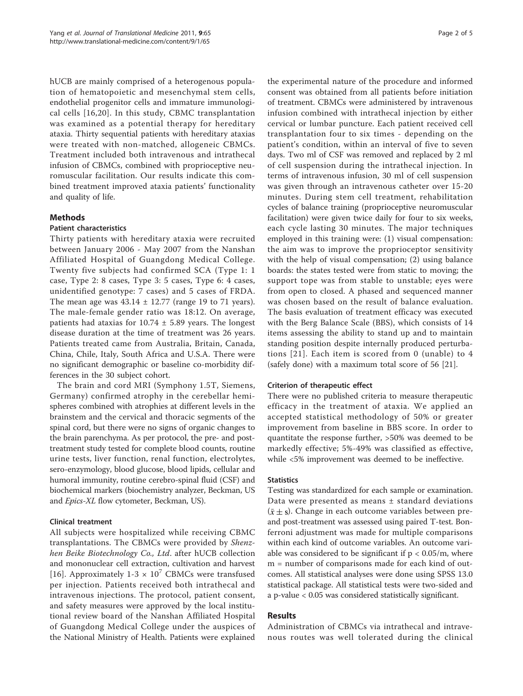hUCB are mainly comprised of a heterogenous population of hematopoietic and mesenchymal stem cells, endothelial progenitor cells and immature immunological cells [\[16,20](#page-4-0)]. In this study, CBMC transplantation was examined as a potential therapy for hereditary ataxia. Thirty sequential patients with hereditary ataxias were treated with non-matched, allogeneic CBMCs. Treatment included both intravenous and intrathecal infusion of CBMCs, combined with proprioceptive neuromuscular facilitation. Our results indicate this combined treatment improved ataxia patients' functionality and quality of life.

## Methods

#### Patient characteristics

Thirty patients with hereditary ataxia were recruited between January 2006 - May 2007 from the Nanshan Affiliated Hospital of Guangdong Medical College. Twenty five subjects had confirmed SCA (Type 1: 1 case, Type 2: 8 cases, Type 3: 5 cases, Type 6: 4 cases, unidentified genotype: 7 cases) and 5 cases of FRDA. The mean age was  $43.14 \pm 12.77$  (range 19 to 71 years). The male-female gender ratio was 18:12. On average, patients had ataxias for  $10.74 \pm 5.89$  years. The longest disease duration at the time of treatment was 26 years. Patients treated came from Australia, Britain, Canada, China, Chile, Italy, South Africa and U.S.A. There were no significant demographic or baseline co-morbidity differences in the 30 subject cohort.

The brain and cord MRI (Symphony 1.5T, Siemens, Germany) confirmed atrophy in the cerebellar hemispheres combined with atrophies at different levels in the brainstem and the cervical and thoracic segments of the spinal cord, but there were no signs of organic changes to the brain parenchyma. As per protocol, the pre- and posttreatment study tested for complete blood counts, routine urine tests, liver function, renal function, electrolytes, sero-enzymology, blood glucose, blood lipids, cellular and humoral immunity, routine cerebro-spinal fluid (CSF) and biochemical markers (biochemistry analyzer, Beckman, US and Epics-XL flow cytometer, Beckman, US).

# Clinical treatment

All subjects were hospitalized while receiving CBMC transplantations. The CBMCs were provided by Shenzhen Beike Biotechnology Co., Ltd. after hUCB collection and mononuclear cell extraction, cultivation and harvest [[16](#page-4-0)]. Approximately 1-3  $\times$  10<sup>7</sup> CBMCs were transfused per injection. Patients received both intrathecal and intravenous injections. The protocol, patient consent, and safety measures were approved by the local institutional review board of the Nanshan Affiliated Hospital of Guangdong Medical College under the auspices of the National Ministry of Health. Patients were explained

the experimental nature of the procedure and informed consent was obtained from all patients before initiation of treatment. CBMCs were administered by intravenous infusion combined with intrathecal injection by either cervical or lumbar puncture. Each patient received cell transplantation four to six times - depending on the patient's condition, within an interval of five to seven days. Two ml of CSF was removed and replaced by 2 ml of cell suspension during the intrathecal injection. In terms of intravenous infusion, 30 ml of cell suspension was given through an intravenous catheter over 15-20 minutes. During stem cell treatment, rehabilitation cycles of balance training (proprioceptive neuromuscular facilitation) were given twice daily for four to six weeks, each cycle lasting 30 minutes. The major techniques employed in this training were: (1) visual compensation: the aim was to improve the proprioceptor sensitivity with the help of visual compensation; (2) using balance boards: the states tested were from static to moving; the support tope was from stable to unstable; eyes were from open to closed. A phased and sequenced manner was chosen based on the result of balance evaluation. The basis evaluation of treatment efficacy was executed with the Berg Balance Scale (BBS), which consists of 14 items assessing the ability to stand up and to maintain standing position despite internally produced perturbations [[21\]](#page-4-0). Each item is scored from 0 (unable) to 4 (safely done) with a maximum total score of 56 [[21](#page-4-0)].

#### Criterion of therapeutic effect

There were no published criteria to measure therapeutic efficacy in the treatment of ataxia. We applied an accepted statistical methodology of 50% or greater improvement from baseline in BBS score. In order to quantitate the response further, >50% was deemed to be markedly effective; 5%-49% was classified as effective, while <5% improvement was deemed to be ineffective.

#### **Statistics**

Testing was standardized for each sample or examination. Data were presented as means ± standard deviations  $(\bar{x} \pm s)$ . Change in each outcome variables between preand post-treatment was assessed using paired T-test. Bonferroni adjustment was made for multiple comparisons within each kind of outcome variables. An outcome variable was considered to be significant if  $p < 0.05/m$ , where m = number of comparisons made for each kind of outcomes. All statistical analyses were done using SPSS 13.0 statistical package. All statistical tests were two-sided and a p-value < 0.05 was considered statistically significant.

# Results

Administration of CBMCs via intrathecal and intravenous routes was well tolerated during the clinical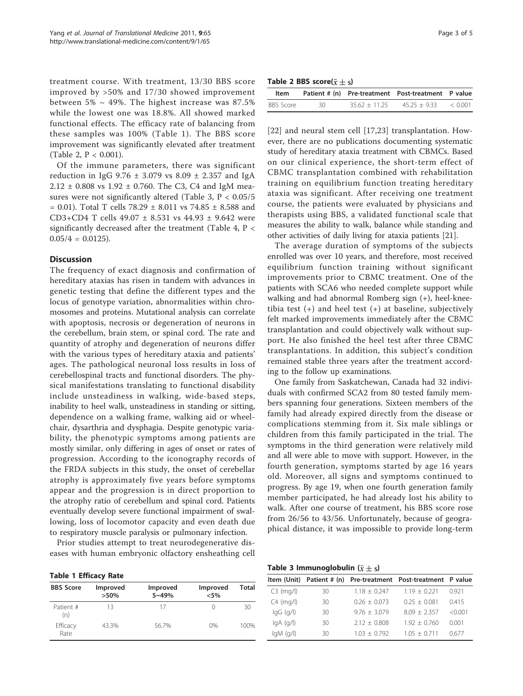treatment course. With treatment, 13/30 BBS score improved by >50% and 17/30 showed improvement between 5%  $\sim$  49%. The highest increase was 87.5% while the lowest one was 18.8%. All showed marked functional effects. The efficacy rate of balancing from these samples was 100% (Table 1). The BBS score improvement was significantly elevated after treatment (Table 2, P < 0.001).

Of the immune parameters, there was significant reduction in IgG 9.76  $\pm$  3.079 vs 8.09  $\pm$  2.357 and IgA  $2.12 \pm 0.808$  vs  $1.92 \pm 0.760$ . The C3, C4 and IgM measures were not significantly altered (Table 3,  $P < 0.05/5$ = 0.01). Total T cells 78.29 ± 8.011 vs 74.85 ± 8.588 and CD3+CD4 T cells 49.07 ± 8.531 vs 44.93 ± 9.642 were significantly decreased after the treatment (Table [4,](#page-3-0) P <  $0.05/4 = 0.0125$ .

## **Discussion**

The frequency of exact diagnosis and confirmation of hereditary ataxias has risen in tandem with advances in genetic testing that define the different types and the locus of genotype variation, abnormalities within chromosomes and proteins. Mutational analysis can correlate with apoptosis, necrosis or degeneration of neurons in the cerebellum, brain stem, or spinal cord. The rate and quantity of atrophy and degeneration of neurons differ with the various types of hereditary ataxia and patients' ages. The pathological neuronal loss results in loss of cerebellospinal tracts and functional disorders. The physical manifestations translating to functional disability include unsteadiness in walking, wide-based steps, inability to heel walk, unsteadiness in standing or sitting, dependence on a walking frame, walking aid or wheelchair, dysarthria and dysphagia. Despite genotypic variability, the phenotypic symptoms among patients are mostly similar, only differing in ages of onset or rates of progression. According to the iconography records of the FRDA subjects in this study, the onset of cerebellar atrophy is approximately five years before symptoms appear and the progression is in direct proportion to the atrophy ratio of cerebellum and spinal cord. Patients eventually develop severe functional impairment of swallowing, loss of locomotor capacity and even death due to respiratory muscle paralysis or pulmonary infection.

Prior studies attempt to treat neurodegenerative diseases with human embryonic olfactory ensheathing cell

Table 1 Efficacy Rate

| <b>BBS Score</b> | Improved<br>$>50\%$ | Improved<br>$5 - 49%$ | Improved<br>$< 5\%$ | Total |
|------------------|---------------------|-----------------------|---------------------|-------|
| Patient #<br>(n) | 13                  | 17                    |                     | 30    |
| Efficacy<br>Rate | 43.3%               | 56.7%                 | $0\%$               | 100%  |

Table 2 BBS score( $\bar{x} \pm s$ )

| ltem      |     |               | Patient # (n) Pre-treatment Post-treatment P value |  |
|-----------|-----|---------------|----------------------------------------------------|--|
| BBS Score | 30. | $3562 + 1125$ | $4525 + 933$ < 0.001                               |  |

[[22\]](#page-4-0) and neural stem cell [\[17](#page-4-0),[23\]](#page-4-0) transplantation. However, there are no publications documenting systematic study of hereditary ataxia treatment with CBMCs. Based on our clinical experience, the short-term effect of CBMC transplantation combined with rehabilitation training on equilibrium function treating hereditary ataxia was significant. After receiving one treatment course, the patients were evaluated by physicians and therapists using BBS, a validated functional scale that measures the ability to walk, balance while standing and other activities of daily living for ataxia patients [\[21\]](#page-4-0).

The average duration of symptoms of the subjects enrolled was over 10 years, and therefore, most received equilibrium function training without significant improvements prior to CBMC treatment. One of the patients with SCA6 who needed complete support while walking and had abnormal Romberg sign (+), heel-kneetibia test (+) and heel test (+) at baseline, subjectively felt marked improvements immediately after the CBMC transplantation and could objectively walk without support. He also finished the heel test after three CBMC transplantations. In addition, this subject's condition remained stable three years after the treatment according to the follow up examinations.

One family from Saskatchewan, Canada had 32 individuals with confirmed SCA2 from 80 tested family members spanning four generations. Sixteen members of the family had already expired directly from the disease or complications stemming from it. Six male siblings or children from this family participated in the trial. The symptoms in the third generation were relatively mild and all were able to move with support. However, in the fourth generation, symptoms started by age 16 years old. Moreover, all signs and symptoms continued to progress. By age 19, when one fourth generation family member participated, he had already lost his ability to walk. After one course of treatment, his BBS score rose from 26/56 to 43/56. Unfortunately, because of geographical distance, it was impossible to provide long-term

Table 3 Immunoglobulin  $(\bar{x} \pm s)$ 

|                                                                           |    |                | Item (Unit) Patient # (n) Pre-treatment Post-treatment P value |           |
|---------------------------------------------------------------------------|----|----------------|----------------------------------------------------------------|-----------|
| $C3$ (mg/l)                                                               | 30 | $1.18 + 0.247$ | $1.19 + 0.221$                                                 | 0921      |
| $C4$ (mg/l)                                                               | 30 | $0.26 + 0.073$ | $0.25 + 0.081$                                                 | 0415      |
| $lgG$ (g/l)                                                               | 30 | $9.76 + 3.079$ | $809 + 2357$                                                   | $<$ 0.001 |
| $\mathsf{I} \mathsf{q} \mathsf{A}$ ( $\mathsf{q} \mathsf{/} \mathsf{l}$ ) | 30 | $2.12 + 0.808$ | $1.92 + 0.760$                                                 | 0.001     |
| qM(q/l)                                                                   | 30 | $1.03 + 0.792$ | $105 + 0711$                                                   | 0677      |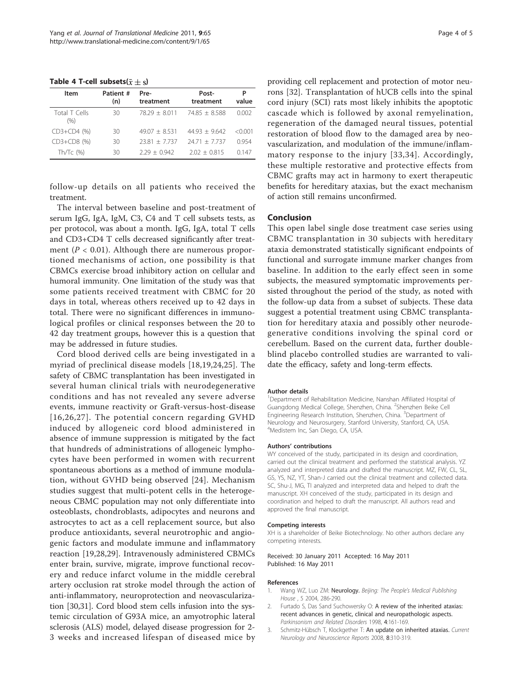<span id="page-3-0"></span>Table 4 T-cell subsets( $\bar{x} \pm s$ )

| Item                  | Patient #<br>(n) | Pre-<br>treatment | Post-<br>treatment | Р<br>value |
|-----------------------|------------------|-------------------|--------------------|------------|
| Total T Cells<br>(96) | 30               | $78.29 + 8.011$   | $7485 + 8588$      | 0.002      |
| $CD3+CD4$ $(\%)$      | 30               | $4907 + 8531$     | $4493 + 9642$      | $<$ 0.001  |
| CD3+CD8 (%)           | 30               | $7381 + 7737$     | $2471 + 7737$      | 0.954      |
| Th/Tc $(% )$          | 30               | $2.29 + 0.942$    | $202 + 0815$       | በ 147      |

follow-up details on all patients who received the treatment.

The interval between baseline and post-treatment of serum IgG, IgA, IgM, C3, C4 and T cell subsets tests, as per protocol, was about a month. IgG, IgA, total T cells and CD3+CD4 T cells decreased significantly after treatment ( $P < 0.01$ ). Although there are numerous proportioned mechanisms of action, one possibility is that CBMCs exercise broad inhibitory action on cellular and humoral immunity. One limitation of the study was that some patients received treatment with CBMC for 20 days in total, whereas others received up to 42 days in total. There were no significant differences in immunological profiles or clinical responses between the 20 to 42 day treatment groups, however this is a question that may be addressed in future studies.

Cord blood derived cells are being investigated in a myriad of preclinical disease models [[18,19](#page-4-0),[24,25](#page-4-0)]. The safety of CBMC transplantation has been investigated in several human clinical trials with neurodegenerative conditions and has not revealed any severe adverse events, immune reactivity or Graft-versus-host-disease [[16](#page-4-0),[26](#page-4-0),[27\]](#page-4-0). The potential concern regarding GVHD induced by allogeneic cord blood administered in absence of immune suppression is mitigated by the fact that hundreds of administrations of allogeneic lymphocytes have been performed in women with recurrent spontaneous abortions as a method of immune modulation, without GVHD being observed [[24\]](#page-4-0). Mechanism studies suggest that multi-potent cells in the heterogeneous CBMC population may not only differentiate into osteoblasts, chondroblasts, adipocytes and neurons and astrocytes to act as a cell replacement source, but also produce antioxidants, several neurotrophic and angiogenic factors and modulate immune and inflammatory reaction [\[19](#page-4-0),[28,29\]](#page-4-0). Intravenously administered CBMCs enter brain, survive, migrate, improve functional recovery and reduce infarct volume in the middle cerebral artery occlusion rat stroke model through the action of anti-inflammatory, neuroprotection and neovascularization [\[30,31\]](#page-4-0). Cord blood stem cells infusion into the systemic circulation of G93A mice, an amyotrophic lateral sclerosis (ALS) model, delayed disease progression for 2- 3 weeks and increased lifespan of diseased mice by

providing cell replacement and protection of motor neurons [\[32](#page-4-0)]. Transplantation of hUCB cells into the spinal cord injury (SCI) rats most likely inhibits the apoptotic cascade which is followed by axonal remyelination, regeneration of the damaged neural tissues, potential restoration of blood flow to the damaged area by neovascularization, and modulation of the immune/inflammatory response to the injury [[33,34](#page-4-0)]. Accordingly, these multiple restorative and protective effects from CBMC grafts may act in harmony to exert therapeutic benefits for hereditary ataxias, but the exact mechanism of action still remains unconfirmed.

# Conclusion

This open label single dose treatment case series using CBMC transplantation in 30 subjects with hereditary ataxia demonstrated statistically significant endpoints of functional and surrogate immune marker changes from baseline. In addition to the early effect seen in some subjects, the measured symptomatic improvements persisted throughout the period of the study, as noted with the follow-up data from a subset of subjects. These data suggest a potential treatment using CBMC transplantation for hereditary ataxia and possibly other neurodegenerative conditions involving the spinal cord or cerebellum. Based on the current data, further doubleblind placebo controlled studies are warranted to validate the efficacy, safety and long-term effects.

#### Author details

<sup>1</sup>Department of Rehabilitation Medicine, Nanshan Affiliated Hospital of Guangdong Medical College, Shenzhen, China. <sup>2</sup>Shenzhen Beike Cell Engineering Research Institution, Shenzhen, China. <sup>3</sup>Department of Neurology and Neurosurgery, Stanford University, Stanford, CA, USA. 4 Medistem Inc, San Diego, CA, USA.

#### Authors' contributions

WY conceived of the study, participated in its design and coordination, carried out the clinical treatment and performed the statistical analysis. YZ analyzed and interpreted data and drafted the manuscript. MZ, FW, CL, SL, GS, YS, NZ, YT, Shan-J carried out the clinical treatment and collected data. SC, Shu-J, MG, TI analyzed and interpreted data and helped to draft the manuscript. XH conceived of the study, participated in its design and coordination and helped to draft the manuscript. All authors read and approved the final manuscript.

#### Competing interests

XH is a shareholder of Beike Biotechnology. No other authors declare any competing interests.

Received: 30 January 2011 Accepted: 16 May 2011 Published: 16 May 2011

#### References

- Wang WZ, Luo ZM: [Neurology.](http://www.ncbi.nlm.nih.gov/pubmed/21592009?dopt=Abstract) Beijing: The People's Medical Publishing House , 5 2004, 286-290.
- Furtado S, Das Sand Suchowersky O: [A review of the inherited ataxias:](http://www.ncbi.nlm.nih.gov/pubmed/18591106?dopt=Abstract) [recent advances in genetic, clinical and neuropathologic aspects.](http://www.ncbi.nlm.nih.gov/pubmed/18591106?dopt=Abstract) Parkinsonism and Related Disorders 1998, 4:161-169.
- 3. Schmitz-Hübsch T, Klockgether T: [An update on inherited ataxias.](http://www.ncbi.nlm.nih.gov/pubmed/18590615?dopt=Abstract) Current Neurology and Neuroscience Reports 2008, 8:310-319.